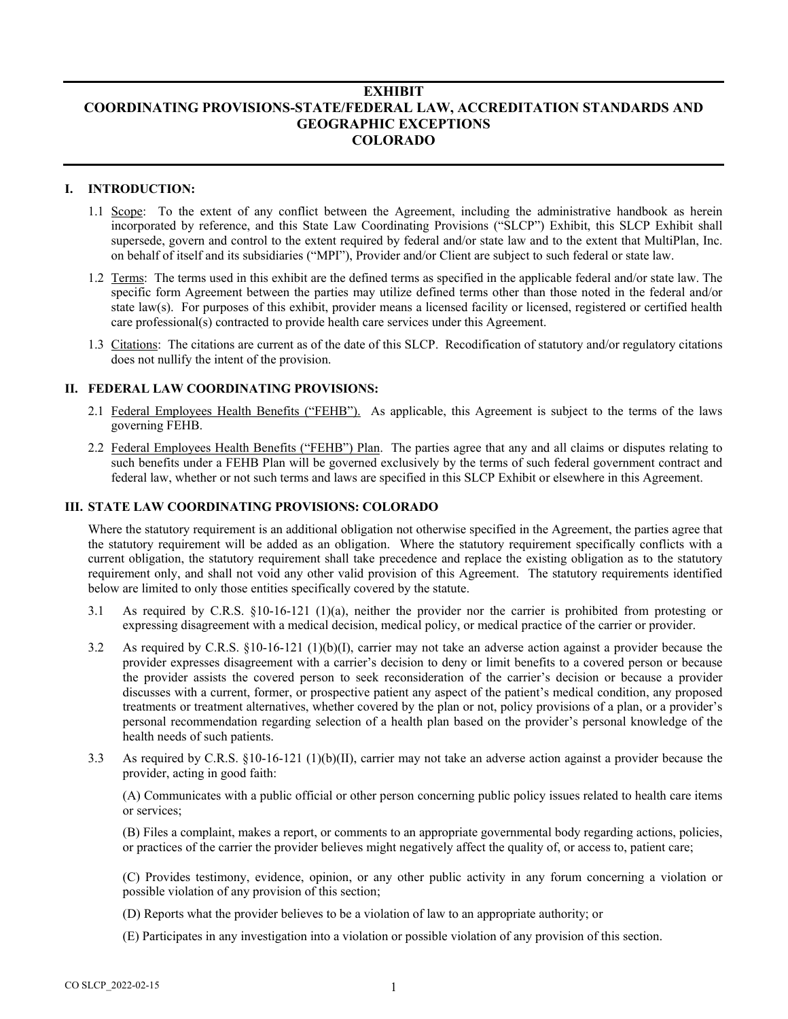# **EXHIBIT COORDINATING PROVISIONS-STATE/FEDERAL LAW, ACCREDITATION STANDARDS AND GEOGRAPHIC EXCEPTIONS COLORADO**

### **I. INTRODUCTION:**

- 1.1 Scope: To the extent of any conflict between the Agreement, including the administrative handbook as herein incorporated by reference, and this State Law Coordinating Provisions ("SLCP") Exhibit, this SLCP Exhibit shall supersede, govern and control to the extent required by federal and/or state law and to the extent that MultiPlan, Inc. on behalf of itself and its subsidiaries ("MPI"), Provider and/or Client are subject to such federal or state law.
- 1.2 Terms: The terms used in this exhibit are the defined terms as specified in the applicable federal and/or state law. The specific form Agreement between the parties may utilize defined terms other than those noted in the federal and/or state law(s). For purposes of this exhibit, provider means a licensed facility or licensed, registered or certified health care professional(s) contracted to provide health care services under this Agreement.
- 1.3 Citations: The citations are current as of the date of this SLCP. Recodification of statutory and/or regulatory citations does not nullify the intent of the provision.

## **II. FEDERAL LAW COORDINATING PROVISIONS:**

- 2.1 Federal Employees Health Benefits ("FEHB"). As applicable, this Agreement is subject to the terms of the laws governing FEHB.
- 2.2 Federal Employees Health Benefits ("FEHB") Plan. The parties agree that any and all claims or disputes relating to such benefits under a FEHB Plan will be governed exclusively by the terms of such federal government contract and federal law, whether or not such terms and laws are specified in this SLCP Exhibit or elsewhere in this Agreement.

#### **III. STATE LAW COORDINATING PROVISIONS: COLORADO**

Where the statutory requirement is an additional obligation not otherwise specified in the Agreement, the parties agree that the statutory requirement will be added as an obligation. Where the statutory requirement specifically conflicts with a current obligation, the statutory requirement shall take precedence and replace the existing obligation as to the statutory requirement only, and shall not void any other valid provision of this Agreement. The statutory requirements identified below are limited to only those entities specifically covered by the statute.

- 3.1 As required by C.R.S. §10-16-121 (1)(a), neither the provider nor the carrier is prohibited from protesting or expressing disagreement with a medical decision, medical policy, or medical practice of the carrier or provider.
- 3.2 As required by C.R.S. §10-16-121 (1)(b)(I), carrier may not take an adverse action against a provider because the provider expresses disagreement with a carrier's decision to deny or limit benefits to a covered person or because the provider assists the covered person to seek reconsideration of the carrier's decision or because a provider discusses with a current, former, or prospective patient any aspect of the patient's medical condition, any proposed treatments or treatment alternatives, whether covered by the plan or not, policy provisions of a plan, or a provider's personal recommendation regarding selection of a health plan based on the provider's personal knowledge of the health needs of such patients.
- 3.3 As required by C.R.S. §10-16-121 (1)(b)(II), carrier may not take an adverse action against a provider because the provider, acting in good faith:

(A) Communicates with a public official or other person concerning public policy issues related to health care items or services;

(B) Files a complaint, makes a report, or comments to an appropriate governmental body regarding actions, policies, or practices of the carrier the provider believes might negatively affect the quality of, or access to, patient care;

(C) Provides testimony, evidence, opinion, or any other public activity in any forum concerning a violation or possible violation of any provision of this section;

- (D) Reports what the provider believes to be a violation of law to an appropriate authority; or
- (E) Participates in any investigation into a violation or possible violation of any provision of this section.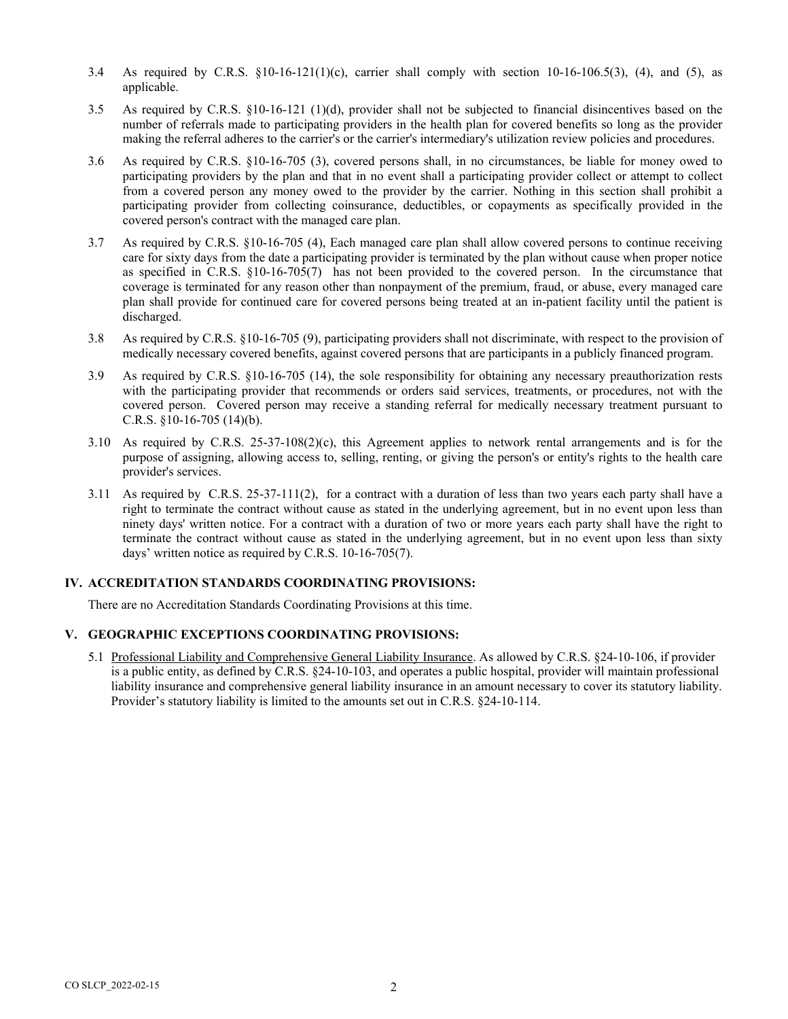- 3.4 As required by C.R.S. §10-16-121(1)(c), carrier shall comply with section 10-16-106.5(3), (4), and (5), as applicable.
- 3.5 As required by C.R.S. §10-16-121 (1)(d), provider shall not be subjected to financial disincentives based on the number of referrals made to participating providers in the health plan for covered benefits so long as the provider making the referral adheres to the carrier's or the carrier's intermediary's utilization review policies and procedures.
- 3.6 As required by C.R.S. §10-16-705 (3), covered persons shall, in no circumstances, be liable for money owed to participating providers by the plan and that in no event shall a participating provider collect or attempt to collect from a covered person any money owed to the provider by the carrier. Nothing in this section shall prohibit a participating provider from collecting coinsurance, deductibles, or copayments as specifically provided in the covered person's contract with the managed care plan.
- 3.7 As required by C.R.S. §10-16-705 (4), Each managed care plan shall allow covered persons to continue receiving care for sixty days from the date a participating provider is terminated by the plan without cause when proper notice as specified in C.R.S. §10-16-705(7) has not been provided to the covered person. In the circumstance that coverage is terminated for any reason other than nonpayment of the premium, fraud, or abuse, every managed care plan shall provide for continued care for covered persons being treated at an in-patient facility until the patient is discharged.
- 3.8 As required by C.R.S. §10-16-705 (9), participating providers shall not discriminate, with respect to the provision of medically necessary covered benefits, against covered persons that are participants in a publicly financed program.
- 3.9 As required by C.R.S. §10-16-705 (14), the sole responsibility for obtaining any necessary preauthorization rests with the participating provider that recommends or orders said services, treatments, or procedures, not with the covered person. Covered person may receive a standing referral for medically necessary treatment pursuant to C.R.S. §10-16-705 (14)(b).
- 3.10 As required by C.R.S. 25-37-108(2)(c), this Agreement applies to network rental arrangements and is for the purpose of assigning, allowing access to, selling, renting, or giving the person's or entity's rights to the health care provider's services.
- 3.11 As required by C.R.S. 25-37-111(2), for a contract with a duration of less than two years each party shall have a right to terminate the contract without cause as stated in the underlying agreement, but in no event upon less than ninety days' written notice. For a contract with a duration of two or more years each party shall have the right to terminate the contract without cause as stated in the underlying agreement, but in no event upon less than sixty days' written notice as required by C.R.S. 10-16-705(7).

#### **IV. ACCREDITATION STANDARDS COORDINATING PROVISIONS:**

There are no Accreditation Standards Coordinating Provisions at this time.

#### **V. GEOGRAPHIC EXCEPTIONS COORDINATING PROVISIONS:**

5.1 Professional Liability and Comprehensive General Liability Insurance. As allowed by C.R.S. §24-10-106, if provider is a public entity, as defined by C.R.S. §24-10-103, and operates a public hospital, provider will maintain professional liability insurance and comprehensive general liability insurance in an amount necessary to cover its statutory liability. Provider's statutory liability is limited to the amounts set out in C.R.S. §24-10-114.